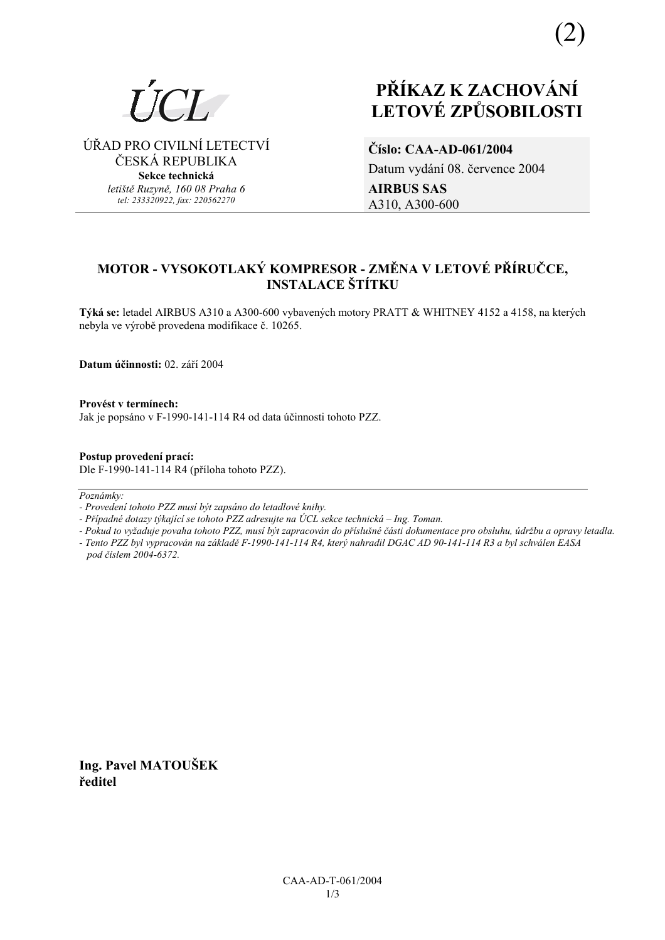

⁄ŘAD PRO CIVILNÕ LETECTVÕ ČESKÁ REPUBLIKA **Sekce technická** 

*letiötě Ruzyně, 160 08 Praha 6 tel: 233320922, fax: 220562270*

# **PŘÍKAZ K ZACHOVÁNÍ LETOV… ZPŮSOBILOSTI**

**ČÌslo: CAA-AD-061/2004**  Datum vydání 08. července 2004 **AIRBUS SAS**  A310, A300-600

# **MOTOR - VYSOKOTLAK› KOMPRESOR - ZMĚNA V LETOV… PŘÕRUČCE, INSTALACE ŠTÍTKU**

Týká se: letadel AIRBUS A310 a A300-600 vybavených motory PRATT & WHITNEY 4152 a 4158, na kterých nebyla ve výrobě provedena modifikace č. 10265.

**Datum ˙činnosti:** 02. z·řÌ 2004

**ProvÈst v termÌnech:**  Jak je popsáno v F-1990-141-114 R4 od data účinnosti tohoto PZZ.

**Postup provedenÌ pracÌ:**  Dle F-1990-141-114 R4 (přÌloha tohoto PZZ).

Poznámky:

*- ProvedenÌ tohoto PZZ musÌ b˝t zaps·no do letadlovÈ knihy.* 

- Případné dotazy týkající se tohoto PZZ adresujte na ÚCL sekce technická – Ing. Toman.

*- Pokud to vyûaduje povaha tohoto PZZ, musÌ b˝t zapracov·n do přÌsluönÈ č·sti dokumentace pro obsluhu, ˙drûbu a opravy letadla.* 

- Tento PZZ byl vypracován na základě F-1990-141-114 R4, který nahradil DGAC AD 90-141-114 R3 a byl schválen EASA *pod čÌslem 2004-6372.* 

**Ing. Pavel MATOUäEK ředitel**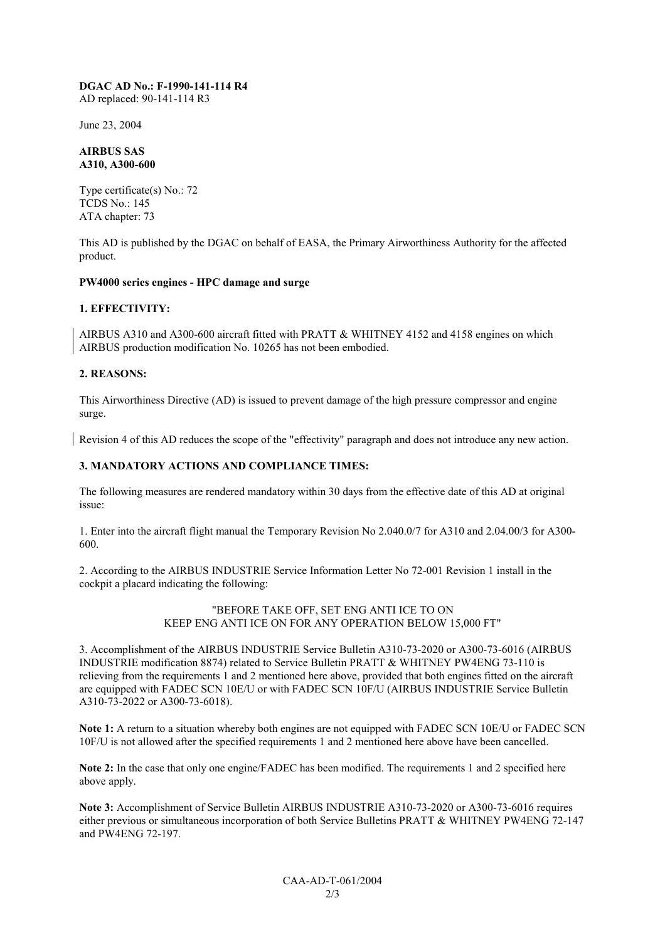#### **DGAC AD No.: F-1990-141-114 R4**  AD replaced: 90-141-114 R3

June 23, 2004

#### **AIRBUS SAS A310, A300-600**

Type certificate(s) No.: 72 TCDS No.: 145 ATA chapter: 73

This AD is published by the DGAC on behalf of EASA, the Primary Airworthiness Authority for the affected product.

## **PW4000 series engines - HPC damage and surge**

## **1. EFFECTIVITY:**

AIRBUS A310 and A300-600 aircraft fitted with PRATT & WHITNEY 4152 and 4158 engines on which AIRBUS production modification No. 10265 has not been embodied.

## **2. REASONS:**

This Airworthiness Directive (AD) is issued to prevent damage of the high pressure compressor and engine surge.

Revision 4 of this AD reduces the scope of the "effectivity" paragraph and does not introduce any new action.

# **3. MANDATORY ACTIONS AND COMPLIANCE TIMES:**

The following measures are rendered mandatory within 30 days from the effective date of this AD at original issue:

1. Enter into the aircraft flight manual the Temporary Revision No 2.040.0/7 for A310 and 2.04.00/3 for A300- 600.

2. According to the AIRBUS INDUSTRIE Service Information Letter No 72-001 Revision 1 install in the cockpit a placard indicating the following:

> "BEFORE TAKE OFF, SET ENG ANTI ICE TO ON KEEP ENG ANTI ICE ON FOR ANY OPERATION BELOW 15,000 FT"

3. Accomplishment of the AIRBUS INDUSTRIE Service Bulletin A310-73-2020 or A300-73-6016 (AIRBUS INDUSTRIE modification 8874) related to Service Bulletin PRATT & WHITNEY PW4ENG 73-110 is relieving from the requirements 1 and 2 mentioned here above, provided that both engines fitted on the aircraft are equipped with FADEC SCN 10E/U or with FADEC SCN 10F/U (AIRBUS INDUSTRIE Service Bulletin A310-73-2022 or A300-73-6018).

**Note 1:** A return to a situation whereby both engines are not equipped with FADEC SCN 10E/U or FADEC SCN 10F/U is not allowed after the specified requirements 1 and 2 mentioned here above have been cancelled.

**Note 2:** In the case that only one engine/FADEC has been modified. The requirements 1 and 2 specified here above apply.

**Note 3:** Accomplishment of Service Bulletin AIRBUS INDUSTRIE A310-73-2020 or A300-73-6016 requires either previous or simultaneous incorporation of both Service Bulletins PRATT & WHITNEY PW4ENG 72-147 and PW4ENG 72-197.